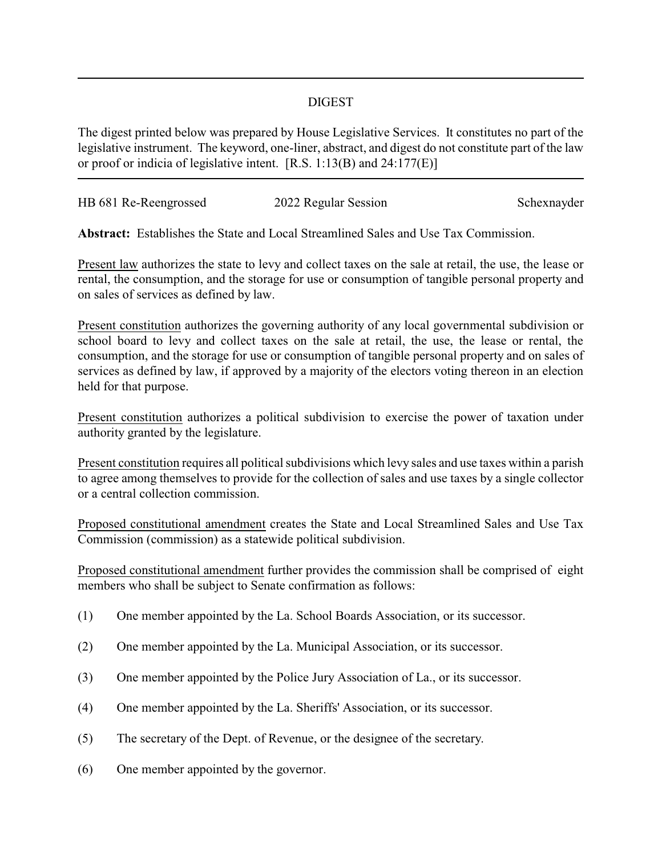## DIGEST

The digest printed below was prepared by House Legislative Services. It constitutes no part of the legislative instrument. The keyword, one-liner, abstract, and digest do not constitute part of the law or proof or indicia of legislative intent. [R.S. 1:13(B) and 24:177(E)]

| HB 681 Re-Reengrossed |                      | Schexnayder |
|-----------------------|----------------------|-------------|
|                       | 2022 Regular Session |             |

**Abstract:** Establishes the State and Local Streamlined Sales and Use Tax Commission.

Present law authorizes the state to levy and collect taxes on the sale at retail, the use, the lease or rental, the consumption, and the storage for use or consumption of tangible personal property and on sales of services as defined by law.

Present constitution authorizes the governing authority of any local governmental subdivision or school board to levy and collect taxes on the sale at retail, the use, the lease or rental, the consumption, and the storage for use or consumption of tangible personal property and on sales of services as defined by law, if approved by a majority of the electors voting thereon in an election held for that purpose.

Present constitution authorizes a political subdivision to exercise the power of taxation under authority granted by the legislature.

Present constitution requires all political subdivisions which levy sales and use taxes within a parish to agree among themselves to provide for the collection of sales and use taxes by a single collector or a central collection commission.

Proposed constitutional amendment creates the State and Local Streamlined Sales and Use Tax Commission (commission) as a statewide political subdivision.

Proposed constitutional amendment further provides the commission shall be comprised of eight members who shall be subject to Senate confirmation as follows:

- (1) One member appointed by the La. School Boards Association, or its successor.
- (2) One member appointed by the La. Municipal Association, or its successor.
- (3) One member appointed by the Police Jury Association of La., or its successor.
- (4) One member appointed by the La. Sheriffs' Association, or its successor.
- (5) The secretary of the Dept. of Revenue, or the designee of the secretary.
- (6) One member appointed by the governor.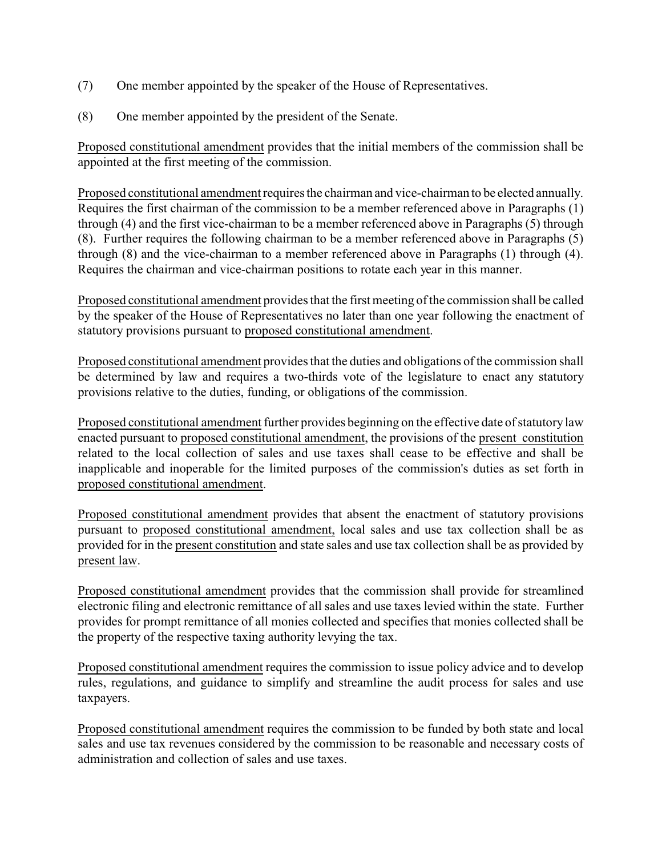- (7) One member appointed by the speaker of the House of Representatives.
- (8) One member appointed by the president of the Senate.

Proposed constitutional amendment provides that the initial members of the commission shall be appointed at the first meeting of the commission.

Proposed constitutional amendment requires the chairman and vice-chairman to be elected annually. Requires the first chairman of the commission to be a member referenced above in Paragraphs (1) through (4) and the first vice-chairman to be a member referenced above in Paragraphs (5) through (8). Further requires the following chairman to be a member referenced above in Paragraphs (5) through (8) and the vice-chairman to a member referenced above in Paragraphs (1) through (4). Requires the chairman and vice-chairman positions to rotate each year in this manner.

Proposed constitutional amendment provides that the first meeting of the commission shall be called by the speaker of the House of Representatives no later than one year following the enactment of statutory provisions pursuant to proposed constitutional amendment.

Proposed constitutional amendment provides that the duties and obligations of the commission shall be determined by law and requires a two-thirds vote of the legislature to enact any statutory provisions relative to the duties, funding, or obligations of the commission.

Proposed constitutional amendment further provides beginning on the effective date of statutory law enacted pursuant to proposed constitutional amendment, the provisions of the present constitution related to the local collection of sales and use taxes shall cease to be effective and shall be inapplicable and inoperable for the limited purposes of the commission's duties as set forth in proposed constitutional amendment.

Proposed constitutional amendment provides that absent the enactment of statutory provisions pursuant to proposed constitutional amendment, local sales and use tax collection shall be as provided for in the present constitution and state sales and use tax collection shall be as provided by present law.

Proposed constitutional amendment provides that the commission shall provide for streamlined electronic filing and electronic remittance of all sales and use taxes levied within the state. Further provides for prompt remittance of all monies collected and specifies that monies collected shall be the property of the respective taxing authority levying the tax.

Proposed constitutional amendment requires the commission to issue policy advice and to develop rules, regulations, and guidance to simplify and streamline the audit process for sales and use taxpayers.

Proposed constitutional amendment requires the commission to be funded by both state and local sales and use tax revenues considered by the commission to be reasonable and necessary costs of administration and collection of sales and use taxes.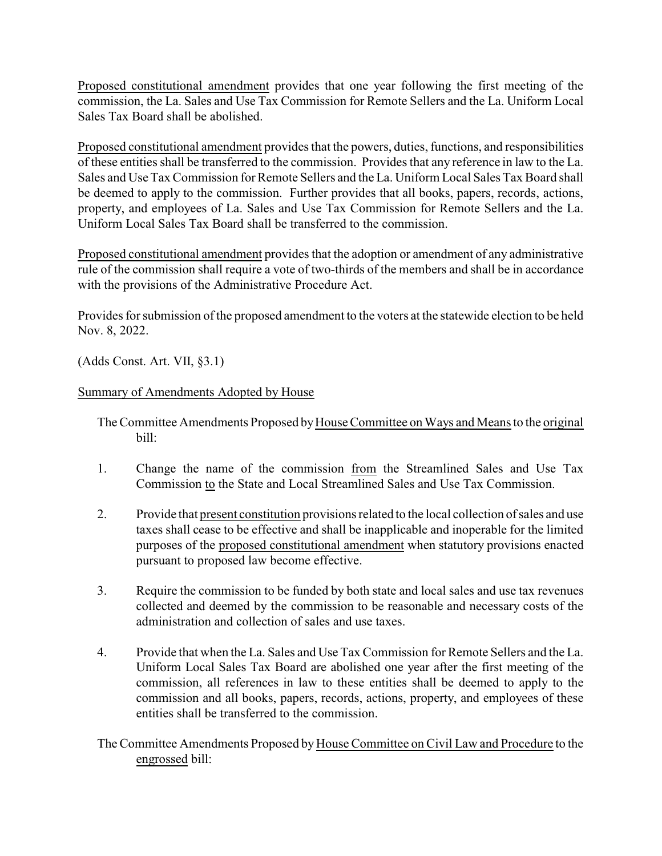Proposed constitutional amendment provides that one year following the first meeting of the commission, the La. Sales and Use Tax Commission for Remote Sellers and the La. Uniform Local Sales Tax Board shall be abolished.

Proposed constitutional amendment provides that the powers, duties, functions, and responsibilities of these entities shall be transferred to the commission. Provides that any reference in law to the La. Sales and Use TaxCommission for Remote Sellers and the La. Uniform Local Sales Tax Board shall be deemed to apply to the commission. Further provides that all books, papers, records, actions, property, and employees of La. Sales and Use Tax Commission for Remote Sellers and the La. Uniform Local Sales Tax Board shall be transferred to the commission.

Proposed constitutional amendment provides that the adoption or amendment of any administrative rule of the commission shall require a vote of two-thirds of the members and shall be in accordance with the provisions of the Administrative Procedure Act.

Provides for submission of the proposed amendment to the voters at the statewide election to be held Nov. 8, 2022.

(Adds Const. Art. VII, §3.1)

## Summary of Amendments Adopted by House

- The Committee Amendments Proposed byHouse Committee on Ways and Means to the original bill:
- 1. Change the name of the commission from the Streamlined Sales and Use Tax Commission to the State and Local Streamlined Sales and Use Tax Commission.
- 2. Provide that present constitution provisions related to the local collection of sales and use taxes shall cease to be effective and shall be inapplicable and inoperable for the limited purposes of the proposed constitutional amendment when statutory provisions enacted pursuant to proposed law become effective.
- 3. Require the commission to be funded by both state and local sales and use tax revenues collected and deemed by the commission to be reasonable and necessary costs of the administration and collection of sales and use taxes.
- 4. Provide that when the La. Sales and Use Tax Commission for Remote Sellers and the La. Uniform Local Sales Tax Board are abolished one year after the first meeting of the commission, all references in law to these entities shall be deemed to apply to the commission and all books, papers, records, actions, property, and employees of these entities shall be transferred to the commission.
- The Committee Amendments Proposed byHouse Committee on Civil Law and Procedure to the engrossed bill: